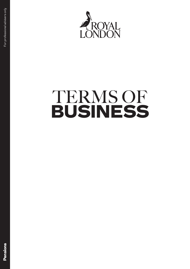

# TERMS OF BUSINESS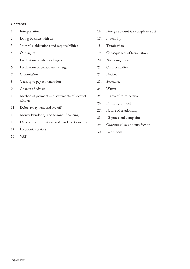#### **Contents**

- 1. Interpretation
- 2. Doing business with us
- 3. Your role, obligations and responsibilities
- 4. Our rights
- 5. Facilitation of adviser charges
- 6. Facilitation of consultancy charges
- 7. Commission
- 8. Ceasing to pay remuneration
- 9. Change of adviser
- 10. Method of payment and statements of account with us
- 11. Debts, repayment and set-off
- 12. Money laundering and terrorist financing
- 13. Data protection, data security and electronic mail
- 14. Electronic services
- 15. VAT
- 16. Foreign account tax compliance act
- 17. Indemnity
- 18. Termination
- 19. Consequences of termination
- 20. Non-assignment
- 21. Confidentiality
- 22. Notices
- 23. Severance
- 24. Waiver
- 25. Rights of third parties
- 26. Entire agreement
- 27. Nature of relationship
- 28. Disputes and complaints
- 29. Governing law and jurisdiction
- 30. Definitions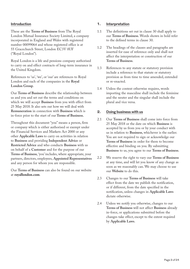#### **Introduction**

These are the **Terms of Business** from The Royal London Mutual Insurance Society Limited, a company incorporated in England and Wales with registered number 00099064 and whose registered office is at 55 Gracechurch Street, London EC3V 0UF ("Royal London").

Royal London is a life and pensions company authorised to carry on and effect contracts of long-term insurance in the United Kingdom.

References to 'us', 'we', or 'our' are references to Royal London and each of the companies in the **Royal London Group**.

Our **Terms of Business** describe the relationship between us and you and set out the terms and conditions on which we will accept **Business** from you with effect from 25 May 2018. It also sets out how we will deal with **Remuneration** in connection with **Business** which is in-force prior to the start of our **Terms of Business.**

Throughout this document "you" means a person, firm or company which is either authorised or exempt under the Financial Services and Markets Act 2000 or any other **Applicable Laws** to carry on activities in relation to **Business** and providing **Independent Advice** or **Restricted Advice** and who conducts **Business** with us on behalf of a **Customer** and for the purpose of our **Terms of Business**, 'you' includes, where appropriate, your partners, directors, employees, **Appointed Representatives**  and any person for whom you are responsible.

Our **Terms of Business** can also be found on our website at **royallondon.com**.

#### **1. Interpretation**

- 1.1 The definitions set out in clause 30 shall apply to our **Terms of Business**. Words shown in bold refer to the defined terms in clause 30.
- 1.2 The headings of the clauses and paragraphs are inserted for ease of reference only and shall not affect the interpretation or construction of our **Terms of Business**.
- 1.3 References to any statute or statutory provision include a reference to that statute or statutory provision as from time to time amended, extended or re-enacted.
- 1.4 Unless the context otherwise requires, words importing the masculine shall include the feminine and the neuter and the singular shall include the plural and vice versa.

#### **2. Doing business with us**

- 2.1 Our **Terms of Business** shall come into force from 25 May 2018 or the date on which **Business** is accepted by us from you or by your conduct with us in relation to **Business**, whichever is the earlier. You are not required to sign or acknowledge our **Terms of Business** in order for them to become effective and binding on you. By submitting **Business** to us, you agree to our **Terms of Business**.
- 2.2 We reserve the right to vary our **Terms of Business**  at any time, and will let you know of any change as soon as we reasonably can. We may choose to use our **Website** to do this.
- 2.3 Changes to our **Terms of Business** will take effect from the date we publish the notification, or if different, from the date specified in the notification, unless changes in **Applicable Laws**  dictate otherwise.
- 2.4 Unless we notify you otherwise, changes to our **Terms of Business** will not affect **Business** already in-force, or applications submitted before the changes take effect, except to the extent required by **Applicable Laws**.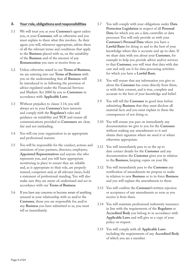#### **3. Your role, obligations and responsibilities**

- 3.1 We will treat you as your **Customer's** agent unless you, or your **Customer**, tell us otherwise and you must explain to them what this involves. As their agent, you will, whenever appropriate, advise them of all the relevant terms and conditions that apply to the **Business** placed with us, on the suitability of the **Business** and of the amount of any **Remuneration** you earn or receive from us.
- 3.2 Unless otherwise stated in our **Terms of Business**, we are entering into our **Terms of Business** with you on the understanding that all **Business** will be introduced to us following the provision of advice regulated under the Financial Services and Markets Act 2000 by you to **Customers** in accordance with **Applicable Laws**.
- 3.3 Without prejudice to clause 3.14, you will always act in your **Customer's** best interests and comply with the **Regulator's** rules and guidance on suitability and **TCF** and ensure all communications provided to **Customers** are clear, fair and not misleading.
- 3.4 You will run your organisation in an appropriate and professional manner.
- 3.5 You will be responsible for the conduct, actions and omissions of your partners, directors, employees, **Appointed Representatives** and anyone else who represents you, and you will have appropriate monitoring in place to ensure they are reliable and, as is appropriate to their role, are properly trained, competent and, at all relevant times, hold a statement of professional standing. You will also make sure they are aware of, understand and act in accordance with our **Terms of Business**.
- 3.6 If you have any concerns or become aware of anything unusual in your relationship with us and/or the **Customer**, those you are responsible for, and/or any **Business** you have submitted to us, you must tell us immediately.
- 3.7 You will comply with your obligations under **Data Protection Legislation** in respect of all **Personal Data** for which you are a data controller or data processor. You will only provide us with your **Customer's Personal Data** where you have a **Lawful Basis** for doing so and to the best of your knowledge where this is accurate and up-to-date. If we share data with you about your **Customer**, for example to help you provide advice and/or services to that **Customer**, you will treat that data with due care and only use it for data processing activities for which you have a **Lawful Basis**.
- 3.8 You will ensure that any information you give us about the **Customer** has come directly from them, or with their consent, and is true, complete and accurate to the best of your knowledge and belief.
- 3.9 You will tell the **Customer** in good time before submitting **Business** that they must disclose all material facts and you must explain to them the consequences of not doing so.
- 3.10 You will ensure you pass on immediately any documentation we give to you for the **Customer**  without making any amendments to it and obtain their signature where we need it or where otherwise appropriate.
- 3.11 You will immediately pass to us the up to date contact details for the **Customer** and any documentation the **Customer** gives you in relation to the **Business**, keeping copies on your file.
- 3.12 You will immediately pass to the **Customer** any notification of amendments we propose to make in relation to new **Business** or to in-force **Business** and you will explain the amendments to them.
- 3.13 You will confirm the **Customer's** written rejection or acceptance of any amendments as soon as you receive it from them.
- 3.14 You will maintain professional indemnity insurance in line with the requirements of the **Regulator** or **Accredited Body** you belong to in accordance with **Applicable Laws** and will give us a copy of your policy on request.
- 3.15 You will comply with all **Applicable Laws** including the requirements of any **Accredited Body** of which you are a member.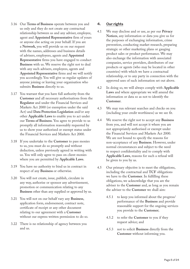- 3.16 Our **Terms of Business** operate between you and us only and they do not create any contractual relationship between us and any adviser, employee, agent and **Appointed Representative** firm of yours or anyone else acting on your behalf. If you are a **Network**, you will provide us on our request with the names, addresses and business details of advisers, employees, agents and **Appointed Representative** firms you have engaged to conduct **Business** with us. We reserve the right not to deal with any such advisers, employees, agents and **Appointed Representative** firms and we will notify you accordingly. You will give us regular updates of anyone joining or leaving your organisation who submits **Business** directly to us.
- 3.17 You warrant that you have full authority from the **Customer** and all necessary authorisations from the **Regulator** and under the Financial Services and Markets Act 2000 (or exemption under the said Act) and **Data Protection Legislation** and/or any other **Applicable Laws** to enable you to act under our **Terms of Business**. You agree to provide to us promptly all information reasonably requested by us to show your authorised or exempt status under the Financial Services and Markets Act 2000.
- 3.18 If you undertake to the **Customer** to pass monies to us, you must do so promptly and without deduction, unless previously agreed in writing with us. You will only agree to pass on client monies where you are permitted by **Applicable Laws**.
- 3.19 You have no authority to bind us in contract in respect of any **Business** or otherwise.
- 3.20 You will not create, issue, publish, circulate in any way, authorise or sponsor any advertisement, promotion or communication relating to any **Business** other than any supplied or approved by us.
- 3.21 You will not on our behalf vary any **Business**, application form, endorsement, contract note, certificate of receipt or any other document relating to our agreement with a **Customer** without our express written permission to do so.
- 3.22 There is no relationship of agency between you and us.

#### **4. Our rights**

- 4.1 We may disclose and or use, as per our **Privacy Notices**, any information or data you give us for the purposes of exchanging information, crime prevention, conducting market research, preparing strategic or other marketing plans or gauging product sales or product performance. We may also exchange the information with associated companies, service providers, distributors of our products or agents (who may be located in other countries) with which we have a contractual relationship, or to any party in connection with the approved uses of such information set out above.
- 4.2 In doing so, we will always comply with **Applicable Laws** and where appropriate we will amend the information or data so as not to identify the **Customer**.
- 4.3 We may run relevant searches and checks on you (including your credit worthiness) as we see fit.
- 4.4 We reserve the right not to accept any **Business**  from you, and will not accept it where you are not appropriately authorised or exempt under the Financial Services and Markets Act 2000. We are not bound to specify the reasons for non-acceptance of any **Business**. However, under normal circumstances and subject to the need to respect confidentiality and to comply with **Applicable Laws**, reasons for such a refusal will be given to you by us.
- 4.5 Our primary objective is to meet the obligations, including the contractual and **TCF** obligations we have to the **Customer**. In fulfilling these obligations, we acknowledge that you are the adviser to the **Customer** and, as long as you remain the adviser to the **Customer** we shall aim:
	- 4.5.1 to keep you informed about the progress/ performance of the **Business** and provide reasonable support for the ongoing services you provide to the **Customer**;
	- 4.5.2 to refer the **Customer** to you if they request advice; and
	- 4.5.3 not to solicit **Business** directly from the **Customer** without informing you.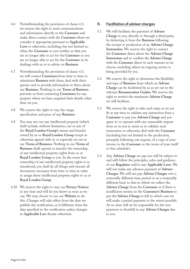- 4.6 Notwithstanding the provisions of clause 4.5, we reserve the right to send communications and information directly to the **Customer** and make direct contact with the **Customer** where we consider it appropriate pursuant to **Applicable Laws** or otherwise, including, but not limited to, when the **Customer** or you notifies us that you are no longer able to act for the **Customer** or you are no longer able to act for the **Customer** in its dealings with us or to advise on **Business**.
- 4.7 Notwithstanding the provisions of clause 4.5, we will contact **Customers** from time to time to administer **Business** with them, deal with their queries and to provide information to them about our **Business**. Nothing in our **Terms of Business** prevents us from contacting **Customers** for any purpose where we have acquired their details other than via you.
- 4.8 We reserve the right to vary the range, specification and price of any **Business**.
- 4.9 You may not use any intellectual property (which shall include, without limitation, our or any of the **Royal London Group's** names and brands) owned by us or **Royal London Group** except as otherwise agreed with us or expressly set out in our **Terms of Business**. Nothing in our **Terms of Business** shall operate to transfer the ownership of any intellectual property rights from us or **Royal London Group** to you. In the event that ownership of any intellectual property rights is so transferred, you shall do all things and execute all documents necessary from time to time in order to assign those intellectual property rights to us or **Royal London Group**.
- 4.10 We reserve the right to vary our **Privacy Notices** at any time and will let you know as soon as we can. We may choose to use our **Website** to do this. Changes will take effect from the date we publish the notification, or if different, from the date specified in the notification unless changes in **Applicable Law** dictate otherwise.

#### **5. Facilitation of adviser charges**

- 5.1 We will facilitate the payment of **Adviser Charge** to you, directly or through a third party, by deducting it from the **Business** following the receipt or production of an **Adviser Charge Instruction**. We reserve the right to contact the **Customer** direct about the **Adviser Charge Instruction** and to confirm the **Adviser Charge** with the **Customer** direct in such manner as we choose, including where an ongoing service is being provided by you.
- 5.2 We reserve the right to determine the flexibility and type of **Business** from which an **Adviser Charge** can be facilitated by us as set out in the relevant **Remuneration Guides**. We reserve the right to restrict the maximum **Adviser Charge** we will facilitate.
- 5.3 We reserve the right to take such steps as we see fit at any time to validate any instruction from a **Customer** to pay you **Adviser Charge** and you agree to co-operate with any reasonable request from us to you to assist us to validate such instruction or otherwise deal with the **Customer** (including but not limited to the production, promptly following our request, of a copy of your invoice to the **Customer** or the terms of your tariff or fees schedule).
- 5.4 Any **Adviser Charge** we pay you will be subject to and will follow the principles, rules and guidance of our **Regulator** and/or any **Applicable Laws**. We will not make any advance payment of **Adviser Charges**. We will not pay **Adviser Charges** over a materially different time period or on a materially different basis to that in which we collect the **Adviser Charge** from the **Customer** or if there is insufficient monies in the **Customer's Business** to pay the **Adviser Charge** in full in which case we will make a partial payment to the extent possible. At no time will we be responsible for the non payment or shortfall in any **Adviser Charges** due to you.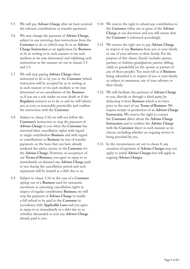- 5.5 We will pay **Adviser Charge** after we have received the relevant contributions or transfer payments.
- 5.6 We may change the payment of **Adviser Charge**, subject to our receiving clear instructions from the **Customer** to do so (which may be in an **Adviser Charge Instruction** or an application for **Business** or be in writing or in such manner or via such medium as we may determine) and validating such instructions in the manner set out in clauses 5.1 and 5.3.
- 5.7 We will stop paying **Adviser Charge** when instructed to do so by you or the **Customer** (which instruction will be accepted by us in writing or in such manner or via such medium as we may determine) or on cancellation of the **Business** or, if you are a sole trader on your death or if the **Regulator** instructs us to do so and we will inform you as soon as reasonably practicable and confirm the instruction with the **Customer**.
- 5.8 Subject to clause 5.10, we will not follow the **Customer's** instruction to stop the payment of **Adviser Charge** to you when the **Customer** has exercised their cancellation rights with regard to single contribution **Business** and with regard to contributions to **Business** by way of transfer payments on the basis that you have already rendered the advice service to the **Customer** for the **Adviser Charge.** However, on acceptance of our **Terms of Business**, you agree to repay to us immediately on demand any **Adviser Charge** paid to you during the cancellation period and such repayment will be treated as a debt due to us.
- 5.9 Subject to clause 5.10, in the case of a **Customer** opting-out of a **Business** used for automatic enrolment or exercising cancellation rights in respect of regular contribution **Business**, we will stop the payment of **Adviser Charge** to enable a full refund to be paid to the **Customer** in accordance with **Applicable Laws** and you agree to repay to us immediately as a debt due to us (whether demanded or not) any **Adviser Charge** already paid to you.
- 5.10 We reserve the right to refund any contribution to the **Customer** either net or gross of the **Adviser Charge** at our discretion and you will ensure that the **Customer** is informed accordingly.
- 5.11 We reserve the right not to pay **Adviser Charge** in respect of any **Business** from you or your family or one of your advisers or their family. For the purpose of this clause, 'family' includes spouse, partner, co-habitee, grandparent, parent, sibling, child, or grandchild (or the spouse or partner of any of those people). You must tell us if **Business** being submitted is in respect of you or your family or, subject to awareness, one of your advisers or their family.
- 5.12 We will facilitate the payment of **Adviser Charge** to you, directly or through a third party, by deducting it from **Business** which is in-force prior to the start of our **Terms of Business**. We require receipt or production of an **Adviser Charge Instruction**. We reserve the right to contact the **Customer** direct about the **Adviser Charge Instruction** and to confirm the **Adviser Charge** with the **Customer** direct in such manner as we choose, including whether an ongoing service is being provided by you.
- 5.13 In the circumstances set out in clause 8, any cessation of payment of **Adviser Charges** may not apply to initial **Adviser Charges** but will apply to ongoing **Adviser Charges**.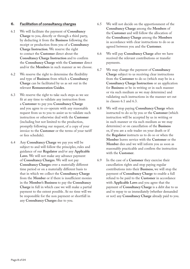#### **6. Facilitation of consultancy charges**

- 6.1 We will facilitate the payment of **Consultancy Charge** to you, directly or through a third party, by deducting it from the **Business** following the receipt or production from you of a **Consultancy Charge Instruction**. We reserve the right to contact the **Customer** direct about the **Consultancy Charge Instruction** and to confirm the **Consultancy Charge** with the **Customer** direct and/or the **Members** in such manner as we choose.
- 6.2 We reserve the right to determine the flexibility and type of **Business** from which a **Consultancy Charge** can be facilitated by us as set out in the relevant **Remuneration Guides**.
- 6.3 We reserve the right to take such steps as we see fit at any time to validate any instruction from a **Customer** to pay you **Consultancy Charge** and you agree to co-operate with any reasonable request from us to you to assist us to validate such instruction or otherwise deal with the **Customer** (including but not limited to the production, promptly following our request, of a copy of your invoice to the **Customer** or the terms of your tariff or fees schedule).
- 6.4 Any **Consultancy Charge** we pay you will be subject to and will follow the principles, rules and guidance of our **Regulator** and/or any **Applicable Laws**. We will not make any advance payment of **Consultancy Charges**. We will not pay **Consultancy Charges** over a materially different time period or on a materially different basis to that in which we collect the **Consultancy Charge** from the **Member** or if there is insufficient monies in the **Member's Business** to pay the **Consultancy Charge** in full in which case we will make a partial payment to the extent possible. At no time will we be responsible for the non payment or shortfall in any **Consultancy Charges** due to you.
- 6.5 We will not decide on the apportionment of the **Consultancy Charge** among the **Members** of the **Customer** and will follow the allocation of the **Consultancy Charge** among the **Members** in accordance with clear instructions to do so as agreed between you and the **Customer**.
- 6.6 We will pay **Consultancy Charge** after we have received the relevant contributions or transfer payments.
- 6.7 We may change the payment of **Consultancy Charge** subject to us receiving clear instructions from the **Customer** to do so (which may be in a **Consultancy Charge Instruction** or an application for **Business** or be in writing or in such manner or via such medium as we may determine) and validating such instructions in the manner set out in clauses 6.1 and 6.3.
- 6.8 We will stop paying **Consultancy Charge** when instructed to do so by you or the **Customer** (which instruction will be accepted by us in writing or in such manner or via such medium as we may determine) or on cancellation of the **Business** or, if you are a sole trader on your death or if the **Regulator** instructs us to do so or when the **Member** leaves service with the **Customer** or the **Member** dies and we will inform you as soon as reasonably practicable and confirm the instruction with the **Customer**.
- 6.9 In the case of a **Customer** they exercise their cancellation rights and stop paying regular contributions into their **Business**, we will stop the payment of **Consultancy Charge** to enable a full refund to be paid to the **Customer** in accordance with **Applicable Laws** and you agree that the payment of **Consultancy Charge** is a debt due to us and to repay to us immediately (whether demanded or not) any **Consultancy Charge** already paid to you.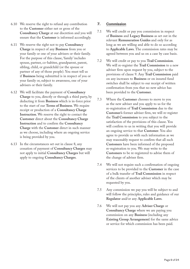- 6.10 We reserve the right to refund any contribution to the **Customer** either net or gross of the **Consultancy Charge** at our discretion and you will ensure that the **Customer** is informed accordingly.
- 6.11 We reserve the right not to pay **Consultancy Charge** in respect of any **Business** from you or your family or one of your advisers or their family. For the purpose of this clause, 'family' includes spouse, partner, co-habitee, grandparent, parent, sibling, child, or grandchild (or the spouse or partner of any of those people). You must tell us if **Business** being submitted is in respect of you or your family or, subject to awareness, one of your advisers or their family.
- 6.12 We will facilitate the payment of **Consultancy Charge** to you, directly or through a third party, by deducting it from **Business** which is in-force prior to the start of our **Terms of Business**. We require receipt or production of a **Consultancy Charge Instruction**. We reserve the right to contact the **Customer** direct about the **Consultancy Charge Instruction** and to confirm the **Consultancy Charge** with the **Customer** direct in such manner as we choose, including where an ongoing service is being provided by you.
- 6.13 In the circumstances set out in clause 8, any cessation of payment of **Consultancy Charges** may not apply to initial **Consultancy Charges** but will apply to ongoing **Consultancy Charges**.

#### **7. Commission**

- 7.1 We will credit or pay you commission in respect of **Business** and **Legacy Business** as set out in the relevant **Remuneration Guides** and only for as long as we are willing and able to do so according to **Applicable Laws**. The commission rates may be agreed between you and us on a case by case basis.
- 7.2 We will credit or pay to you **Trail Commission**. We will re-register the **Trail Commission** to a new adviser firm upon request by you, subject to the provisions of clause 9. Any **Trail Commission** paid on any increases to **Business** or on insured fund switches shall be subject to our receipt of written confirmation from you that no new advice has been provided to the **Customer**.
- 7.3 Where the **Customer** chooses to move to you as the new adviser and you apply to us for the re-registration of **Trail Commission** due to the **Customer's** former adviser firm, we will re-register the **Trail Commission** to you subject to the satisfaction of the provisions of this clause. You will confirm to us in writing that you will provide an ongoing service to that **Customer**. You also agree to provide us with such information as we may reasonably request to confirm that all such **Customers** have been informed of the proposed re-registration to you. We may write to the **Customers** to be re-registered to advise them of the change of adviser firm.
- 7.4 We will not require such a confirmation of ongoing services to be provided to the **Customer** in the case of a bulk transfer of **Trail Commission** in respect of the clients of another adviser which may be requested by you.
- 7.5 Any commission we pay you will be subject to and will follow the principles, rules and guidance of our **Regulator** and/or any **Applicable Laws**.
- 7.6 We will not pay you any **Adviser Charge** or **Consultancy Charge** where we are paying you commission on any **Business** (including any **Existing Group Arrangement**) for the same advice or service for which commission has been paid.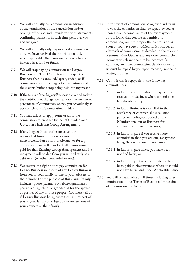- 7.7 We will normally pay commission in advance of the termination of the cancellation and/or cooling-off period and provide you with statements confirming payments in such time period as you and we agree.
- 7.8 We will normally only pay or credit commission once we have received the contribution and, where applicable, the **Customer's** money has been invested in a fund or funds.
- 7.9 We will stop paying commission for **Legacy Business** and **Trail Commission** in respect of **Business** that is cancelled, lapsed, ended, or if commission is a percentage of contributions and these contributions stop being paid for any reason.
- 7.10 If the terms of the **Legacy Business** are varied and/or the contributions change, we may vary the amount or percentage of commission we pay you accordingly as per the relevant **Remuneration Guides**.
- 7.11 You may ask us to apply some or all of the commission to enhance the benefits under your **Customer's Existing Group Arrangement**.
- 7.12 If any **Legacy Business** becomes void or is cancelled from inception because of misrepresentation or non-disclosure, or for any other reason, we will claw back all commission paid for that **Existing Group Arrangement** and its repayment will be due from you immediately as a debt to us (whether demanded or not).
- 7.13 We reserve the right not to pay commission for **Legacy Business** in respect of any **Legacy Business** from you or your family or one of your advisers or their family. For the purpose of this clause, 'family' includes spouse, partner, co-habitee, grandparent, parent, sibling, child, or grandchild (or the spouse or partner of any of those people). You must tell us if **Legacy Business** being submitted is in respect of you or your family or, subject to awareness, one of your advisers or their family.
- 7.14 In the event of commission being overpaid by us to you, the commission shall be repaid by you as soon as you become aware of the overpayment. If it is found that you are not entitled to commission, you must repay the commission as soon as you have been notified. This includes all clawback of commission as detailed in the relevant **Remuneration Guides** and any other commission payment which we deem to be incorrect. In addition, any other commission clawback due to us must be repaid by you upon receiving notice in writing from us.
- 7.15 Commission is repayable in the following circumstances:
	- 7.15.1 in full if no contribution or payment is received for **Business** where commission has already been paid;
	- 7.15.2 in full if **Business** is cancelled in the regulatory or contractual cancellation period or cooling-off period or if a **Member** opts out of **Business** for automatic enrolment purposes;
	- 7.15.3 in full or in part if you receive more commission than you are due, repayment being the excess commission amount;
	- 7.15.4 in full or in part where you have been notified by us; or
	- 7.15.5 in full or in part where commission has been paid in circumstances where it should not have been paid under **Applicable Laws**.
- 7.16 You will remain liable at all times including after termination of our **Terms of Business** for reclaims of commission due to us.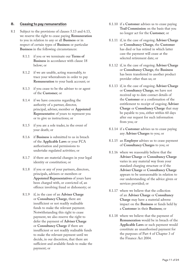#### **8. Ceasing to pay remuneration**

- 8.1 Subject to the provisions of clauses 5.13 and 6.13, we reserve the right to cease paying **Remuneration** to you in relation to any or all **Business** or in respect of certain types of **Business** or particular **Business** in the following circumstances:
	- 8.1.1 if you or we terminate our **Terms of Business** in accordance with clause 18 below; or
	- 8.1.2 if we are unable, acting reasonably, to trace your whereabouts in order to pay **Remuneration** to your bank account; or
	- 8.1.3 if you cease to be the adviser to or agent of the **Customer**; or
	- 8.1.4 if we have concerns regarding the authority of a partner, director, principal, adviser, member or **Appointed Representative** of yours to represent you or to give us instructions; or
	- 8.1.5 if you are a sole trader, in the event of your death; or
	- 8.1.6 if **Business** is submitted to us in breach of the **Applicable Laws** or your FCA authorisation and permissions to undertake regulated activities; or
	- 8.1.7 if there are material changes in your legal identity or constitution; or
	- 8.1.8 if you or any of your partners, directors, principals, advisers or members or **Appointed Representatives** of yours have been charged with, or convicted of, an offence involving fraud or dishonesty; or
	- 8.1.9 if, in the case of an **Adviser Charge** or **Consultancy Charge**, there are insufficient or not readily realisable funds to make the relevant payment. Notwithstanding this right to cease payment, we also reserve the right to defer the payment of **Adviser Charge**  or **Consultancy Charge** if there are insufficient or not readily realisable funds to make the relevant payment until we decide, in our discretion, that there are sufficient and available funds to make the payment; or
- 8.1.10 if a **Customer** advises us to cease paying **Trail Commission** on the basis that you no longer act for the **Customer**; or
- 8.1.11 if, in the case of ongoing **Adviser Charge** or **Consultancy Charge**, the **Customer** has died or has retired in which latter case the payment will cease at the selected retirement date; or
- 8.1.12 if, in the case of ongoing **Adviser Charge** or **Consultancy Charge**, the **Business** has been transferred to another product provider other than us; or
- 8.1.13 if, in the case of ongoing **Adviser Charge** or **Consultancy Charge**, we have not received up to date contact details of the **Customer** or a confirmation of the entitlement to receipt of ongoing **Adviser Charge** or **Consultancy Charge** that may be payable to you, either within 60 days after our request for such information from you; or
- 8.1.14 if a **Customer** advises us to cease paying any **Adviser Charges** to you; or
- 8.1.15 an **Employer** advises us to cease payment of **Consultancy Charges** to you; or
- 8.1.16 where we reasonably believe that the **Adviser Charge** or **Consultancy Charge** varies in any material way from your standard charging structure or if the **Adviser Charge** or **Consultancy Charge** appears to be unreasonable in relation to our understanding of the advice given or services provided; or
- 8.1.17 where we believe that the collection of an **Adviser Charge** or **Consultancy Charge** may have a material adverse impact on the **Business** or funds held by a **Customer** in their **Business**; or
- 8.1.18 where we believe that the payment of **Remuneration** would be in breach of the **Applicable Laws** or such payment would constitute an unauthorised payment for the purposes of Part 4 of Chapter 3 of the Finance Act 2004.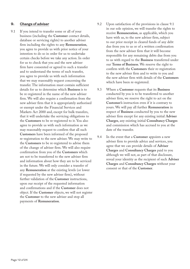#### **9. Change of adviser**

- 9.1 If you intend to transfer some or all of your business (including the **Customer** contact details, database or servicing rights) to another adviser firm including the rights to any **Remuneration**, you agree to provide us with prior notice of your intention to do so in order for us to undertake certain checks before we take any action. In order for us to check that you and the new adviser firm have consented or agreed to such a transfer and to understand the terms of such transfer, you agree to provide us with such information that we may reasonably request concerning the transfer. The information must contain sufficient details for us to determine which **Business** is to be re-registered in the name of the new adviser firm. We will also require a confirmation from the new adviser firm that it is appropriately authorised or exempt under the Financial Services and Markets Act 2000 and, except for bulk transfers, that it will undertake the servicing obligations to the **Customers** to be re-registered to it. You also agree to provide us with such information as we may reasonably request to confirm that all such **Customers** have been informed of the proposed re-registration to the new adviser. We may write to the **Customers** to be re-registered to advise them of the change of adviser firm. We will also require confirmation from you of the **Customers** which are not to be transferred to the new adviser firm and information about how they are to be serviced in the future. We will only consider a transfer of any **Remuneration** at the existing levels (or lower if requested by the new adviser firm)**,** without further validation of the **Customer** instructions, upon our receipt of the requested information and confirmations and if the **Customer** does not object. If the **Customer** objects, we will not register the **Customer** to the new adviser and stop all payments of **Remuneration**.
- 9.2 Upon satisfaction of the provisions in clause 9.1 in our sole opinion, we will transfer the rights to receive **Remuneration**, as applicable, which you have with us, to the new adviser firm, subject to our prior receipt in cleared funds of any debt due from you to us or of a written confirmation from the new adviser firm that it will become responsible for any remaining debts due from you to us with regard to the **Business** transferred under our **Terms of Business**. We reserve the right to confirm with the **Customers** their re-registration to the new adviser firm and to write to you and the new adviser firm with details of the **Customers** which have been re-registered.
- 9.3 Where a **Customer** requests that its **Business** conducted by you is to be transferred to another adviser firm, we reserve the right to act on the **Customer's** instruction even if it is contrary to yours. We will pay all further **Remuneration** in respect of **Business** conducted by you to the new adviser firm except for any existing initial **Adviser Charges**, any existing initial **Consultancy Charges** and commission which has accrued to you at the date of the transfer.
- 9.4 In the event that a **Customer** appoints a new adviser firm to provide advice and services, you agree that we can provide details of **Adviser Charges** and **Consultancy Charges** paid to you although we will not, as part of that disclosure, reveal your identity as the recipient of such **Adviser Charges** and **Consultancy Charges** without your consent or that of the **Customer**.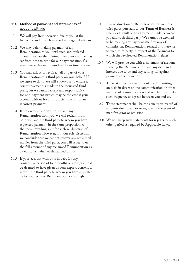#### **10. Method of payment and statements of account with us**

- 10.1 We will pay **Remuneration** due to you at the frequency and in such method as is agreed with us.
- 10.2 We may defer making payment of any **Remuneration** to you until such accumulated amount reaches the minimum amount that we may set from time to time for our payment runs. We may review this minimum level from time to time.
- 10.3 You may ask us to re-direct all or part of your **Remuneration** to a third party on your behalf. If we agree to do so, we will endeavour to ensure a correct payment is made to the requested third party, but we cannot accept any responsibility for non-payment (which may be the case if your account with us holds insufficient credit) or an incorrect payment.
- 10.4 If we exercise our right to reclaim any **Remuneration** from you, we will reclaim from both you and the third party to whom you have requested payment, in the same proportion as the then prevailing split for such re-direction of **Remuneration**. However, if in our sole discretion we conclude that we cannot recover any reclaimed monies from the third party, you will repay to us the full amount of any reclaimed **Remuneration** as a debt to us (whether demanded or not).
- 10.5 If your account with us is in debt for any consecutive period of four months or more, you shall be deemed to have given us your express consent to inform the third party to whom you have requested us to re-direct any **Remuneration** accordingly.
- 10.6 Any re-direction of **Remuneration** by you to a third party pursuant to our **Terms of Business** is solely as a result of an agreement made between you and such third party. We cannot be deemed to be making any payment itself by way of commission, **Remuneration**, reward or otherwise to such third party in respect of the **Business** to which the re-directed **Remuneration** relates.
- 10.7 We will provide you with a statement of account showing the **Remuneration** and any debt and interest due to us and any setting-off against payments due to you or us.
- 10.8 These statements may be contained in writing, on disk, in direct online communication or other method of communication and will be provided at such frequency as agreed between you and us.
- 10.9 These statements shall be the conclusive record of amounts due to you or to us, save in the event of manifest error or omission.
- 10.10 We will keep such statements for 6 years, or such other period as required by **Applicable Laws**.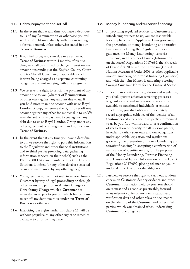#### **11. Debts, repayment and set-off**

- 11.1 In the event that at any time you have a debt due to us of any **Remuneration** or otherwise, you will settle that debt immediately without our issuing a formal demand, unless otherwise stated in our **Terms of Business**.
- 11.2 If you fail to pay any sum due to us under our **Terms of Business** within 4 months of its due date, we shall be entitled to charge interest on any amount outstanding at the English County Court rate (or Sheriff Court rate, if applicable), such interest being charged as a separate, continuing obligation and not merging with any judgment.
- 11.3 We reserve the right to set off the payment of any amount due to you (whether of **Remuneration**  or otherwise) against any amount due to us. If you hold more than one account with us or **Royal London Group**, we reserve the right to set off one account against any other for monies due to us. We may also set off any payment to you against any debt due to us or **Royal London Group** under any other agreement or arrangement and not just our **Terms of Business**.
- 11.4 In the event that at any time you have a debt due to us, we reserve the right to pass this information to the **Regulator** and other financial institutions and to third parties providing data gathering information services on their behalf, such as the Elixir 2000 Database maintained by Crif Decision Solutions Limited (or any other database selected by us and maintained by any other agency).
- 11.5 You agree that you will not seek to recover from a **Customer** by way of legal proceedings or through other means any part of an **Adviser Charge** or **Consultancy Charge** which a **Customer** has requested us to pay to you but which has been used to set off any debt due to us under our **Terms of Business** or otherwise.
- 11.6 Exercising our rights under this clause 11 will be without prejudice to any other rights or remedies available to us or we may have.

#### **12. Money laundering and terrorist financing**

- 12.1 In providing regulated services to **Customers** and introducing business to us, you are responsible for compliance with **Applicable Laws** governing the prevention of money laundering and terrorist financing (including the **Regulator's** rules and guidance, the Money Laundering, Terrorist Financing and Transfer of Funds (Information on the Payer) Regulations 2017/692, the Proceeds of Crime Act 2002 and the Terrorism (United Nations Measures) Order 2009 or other applicable money laundering or terrorist financing legislation) and with the Joint Money Laundering Steering Group's Guidance Notes for the Financial Sector.
- 12.2 In accordance with such legislation and regulation, you shall operate effective screening processes to guard against making economic resources available to sanctioned individuals or entities. In addition, you shall obtain and accurately record appropriate evidence of the identity of all **Customers** and any other third parties introduced to us by you. You will forward to us a confirmation of verification of identity for all relevant parties, in order to satisfy your own and our obligations under applicable legislation and regulations governing the prevention of money laundering and terrorist financing. In accepting a confirmation of verification of identity, we are, for the purposes of the Money Laundering, Terrorist Financing and Transfer of Funds (Information on the Payer) Regulations 2017/692, placing reliance on you to undertake the **Customer** due diligence.
- 12.3 Further, we reserve the right to carry out random checks on **Customer** identity evidence and other **Customer** information held by you. You should on request and as soon as practicable, forward to us relevant copies of any identification and verification data and other relevant documents on the identity of the **Customer** and other third parties, which you obtained when undertaking **Customer** due diligence.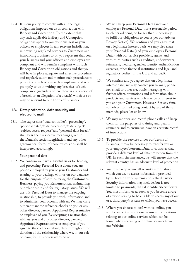12.4 It is our policy to comply with all the legal obligations imposed on us in connection with **Bribery and Corruption**. To the extent that any such applicable **Bribery and Corruption** obligations apply to you, your business or your officers or employees in any relevant jurisdiction, in providing regulated services to **Customers** and introducing **Business** to us, you represent that you, your business and your officers and employees are compliant and will remain compliant with such **Bribery and Corruption** obligations and that you will have in place adequate and effective procedures and regularly audit and monitor such procedures to prevent a breach of any such compliance and report promptly to us in writing any breaches of such compliance (including where there is a suspicion of a breach or an allegation of a breach) which are or may be relevant to our **Terms of Business**.

#### **13. Data protection, data security and electronic mail**

13.1 The expressions "data controller", "processing", "personal data", "data processor", "data subject", "subject access request" and "personal data breach" shall bear their respective meanings given in the **Data Protection Legislation** and any other grammatical forms of those expressions shall be interpreted accordingly.

#### **Your personal data**

13.2 We confirm we have a **Lawful Basis** for holding and processing **Personal Data** about you, any person employed by you or your **Customers** and relating to your dealings with us on our database for the purpose of administering the **Customer's Business**, paying you **Remuneration**, maintaining our relationship and for regulatory issues. We will use this **Personal Data** to manage the ongoing relationship, to provide you with information and to administer your account with us. We may carry out credit and/or reference checks on you or any other director, partner, **Appointed Representative** or employee of you. By accepting a relationship with us, you and any other director, partner, **Appointed Representative** or employee of you agree to these checks taking place throughout the duration of the relationship where we, in our sole opinion, feel it is necessary to do so.

- 13.3 We will keep your **Personal Data** (and your employees' **Personal Data**) for a reasonable period (such period being no longer than is necessary to fulfil our obligations to you as per our Adviser **Privacy Notice**). We confirm and you agree that on a legitimate interest basis, we may also share your **Personal Data** (and your employees' **Personal Data**) with our service providers, agents and with third parties such as auditors, underwriters, reinsurers, medical agencies, identity authentication agencies, other financial institutions and legal and regulatory bodies (in the UK and abroad).
- 13.4 We confirm and you agree that on a legitimate interest basis, we may contact you by mail, phone, fax, email or other electronic messaging with further offers, promotions and information about products and services which may be of interest to you and your **Customers**. However if at any time you object to marketing contact by any of these methods, please let us know.
- 13.5 We may monitor and record phone calls and keep them for the purposes of training and quality assurance and to ensure we have an accurate record of instructions.
- 13.6 To provide the services under our **Terms of Business**, it may be necessary to transfer you or your employees' **Personal Data** to countries that provide a different level of data protection from the UK. In such circumstances, we will ensure that the relevant country has an adequate level of protection.
- 13.7 You must keep secure all security information which you use to access information provided by us, both on your systems and a third party's. Security information may include, but is not limited to passwords, digital identifiers/certificates. You must inform us as soon as you become aware of anyone ceasing to be eligible to access any of our or a third party's system to which you have access.
- 13.8 Where you choose to deal with us online, you will be subject to additional terms and conditions relating to our online services which can be found when accessing our online services from our **Website**.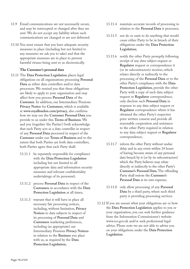- 13.9 Email communications are not necessarily secure, and may be intercepted or changed after they are sent. We do not accept any liability where such communications are changed or are not delivered.
- 13.10 You must ensure that you have adequate security measures in place (including but not limited to any measures we ask you to take) and that the appropriate measures are in place to prevent harmful viruses being sent to us electronically.

#### **The Customer's personal data**

- 13.11 The **Data Protection Legislation** places legal obligations on all organisations processing **Personal Data** as either data controllers and/or data processors. We remind you that these obligations are likely to apply to your organisation and may affect how you process **Personal Data** of the **Customer**. In addition, our Intermediary Pensions **Privacy Notice** for **Customers**, which is available at **www.royallondon.com/privacy**, also confirms how we may use the **Customer Personal Data** you provide to us under this **Terms of Business**. We and you (together 'the Parties') both acknowledge that each Party acts as a data controller in respect of any **Personal Data** processed in respect of the **Customer** under our **Terms of Business** and to the extent that both Parties are both data controllers, both Parties agree that each Party shall:
	- 13.11.1 be separately responsible for compliance with the **Data Protection Legislation** including but not limited to all appropriate data and information security measures and relevant confidentiality undertakings of its personnel;
	- 13.11.2 process **Personal Data** in respect of the **Customers** in accordance with the **Data Protection Legislation** at all times;
	- 13.11.3 warrant that it will have in place all necessary fair processing notices, including, without limitation, **Privacy Notices** to data subjects in respect of its processing of **Personal Data** and **Customers** marketing preferences, including (as appropriate) our Intermediary Pensions **Privacy Notices** in relation to the **Business** you place with us, as required by the **Data Protection Legislation**;
- 13.11.4 maintain accurate records of processing in relation to the **Personal Data** it processes;
- 13.11.5 not do or omit to do anything that would cause either Party to be in breach of their obligations under the **Data Protection Legislation**;
- 13.11.6 notify the other Party promptly following receipt of any data subject request or **Regulator** request or correspondence it (or its subcontractors) receives, which relates directly or indirectly to the processing of the **Personal Data** or to the other Party's compliance with the **Data Protection Legislation**, provide the other Party with a copy of such data subject request or **Regulator** correspondence, only disclose such **Personal Data** in response to any data subject request or **Regulator** correspondence where it has obtained the other Party's respective prior written consent and provide all reasonable cooperation and assistance to the other Party required in relation to any data subject request or **Regulator** correspondence;
- 13.11.7 inform the other Party without undue delay and in any event within 24 hours of having become aware of any personal data breach by it (or by its subcontractors) which the Party believes may relate directly or indirectly to the other Party's **Customer's Personal Data**. The offending Party shall restore the **Customer's Personal Data** at its own expense;
- 13.11.8 only allow processing of any **Personal Data** by a third party, where such third party is providing processing services.
- 13.12 If you are unsure what your obligations are or how the **Data Protection Legislation** applies to you or your organisation, you can seek further guidance from the Information Commissioner's website [www.ico.gov.uk](file:///Users/C_KXW002/Desktop/../Local Settings/Temporary Internet Files/Content.Outlook/AppData/Local/Temp/Temporary Internet Files/lf01/Local Settings/Temporary Internet Files/Content.Outlook/KAQHTJOS/www.ico.gov.uk) and/or seek professional legal advice. Please note we are not able to advise you on your obligations under the **Data Protection Legislation**.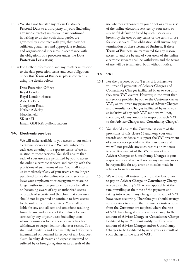- 13.13 We shall not transfer any of our **Customer Personal Data** to a third party of yours (including any subcontractor) unless you have confirmed in writing to us that such third parties are governed by a contract with you, that provides sufficient guarantees and appropriate technical and organisational measures in accordance with the obligations of a processor under the **Data Protection Legislation**;
- 13.14 For further information and any matters in relation to the data protection terms and your obligations under this **Terms of Business**, please contact us using the details below:

Data Protection Officer, Royal London, Royal London House, Alderley Park, Congleton Road, Nether Alderley, Macclesfield, SK10 4EL. Email: GDPR@royallondon.com

#### **14. Electronic services**

We will make available to you access to our online electronic services via our **Website**, subject to each user entering into separate terms of use in relation to those services. You shall ensure that each of your users are permitted by you to access the online electronic services and comply with the provisions of such terms of use. You shall inform us immediately if any of your users are no longer permitted to use the online electronic services or leave your employment or engagement or are no longer authorised by you to act on your behalf or on becoming aware of any unauthorised access or breach of security and therefore that your user should not be granted or continue to have access to the online electronic services. You shall be liable for any and all acts and omissions resulting from the use and misuse of the online electronic services by any of your users, including users whose permission to use these services has been withdrawn or suspended for whatever reason. You shall indemnify us and keep us fully and effectively indemnified on demand in respect of any loss, cost, claim, liability, damages and expense incurred or suffered by or brought against us as a result of the

use whether authorised by you or not or any misuse of the online electronic services by your users or any wilful default or fraud by such user or any breach by the user of any terms of the terms of use for such services. This obligation shall survive any termination of these **Terms of Business**. If these **Terms of Business** are terminated for any reason, access to and use by any of your users of the online electronic services shall be withdrawn and the terms of use will be terminated, both without notice.

#### **15. VAT**

- 15.1 For the purposes of our **Terms of Business**, we will treat all payments of **Adviser Charges** and **Consultancy Charges** facilitated by us to you as if they were **VAT** exempt. However, in the event that any service provided by you to the **Customer** carries **VAT**, we will treat any payment of **Adviser Charges** and **Consultancy Charges** facilitated by us to you as inclusive of any such **VAT** (and we will not, therefore, add any amount in respect of such **VAT** to the **Adviser Charges** and **Consultancy Charges**).
- 15.2 You should ensure the **Customer** is aware of the provisions of this clause 15 and keep your own records and evidence to support the **VAT** treatment of your services provided to the **Customer** and we will not provide any such records or evidence to you. Assessment of the **VAT** status of any **Adviser Charges** or **Consultancy Charges** is your responsibility and we will not in any circumstances be responsible for any error or mistake made in relation to such assessment.
- 15.3 We will treat all instructions from the **Customer** to pay an **Adviser Charge** or **Consultancy Charge** to you as including **VAT** where applicable at the rate prevailing at the time of the payment and taking into account any changes to the rate of **VAT** howsoever occurring. Therefore, you should arrange your services to ensure that no further instructions from the **Customer** are required where the rate of **VAT** has changed and there is a change to the amount of **Adviser Charge** or **Consultancy Charge** facilitated by us. You must notify us of the new amount of **Adviser Charges** and/or **Consultancy Charges** to be facilitated by us to you as a result of such change in the rate of **VAT**.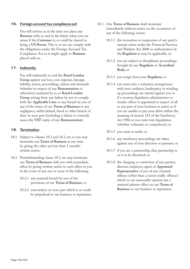#### **16. Foreign account tax compliance act**

You will inform us at the time you place any **Business** with us and in the future when you are aware if the **Customer** is, or could be classed as being a **US Person**. This is so we can comply with the obligations under the Foreign Account Tax Compliance Act as it might apply to **Business** placed with us.

#### **17. Indemnity**

You will indemnify us and the **Royal London Group** against any loss, cost, expense, damage, liability, action, proceedings, claims and demands (whether in respect of any **Remuneration** or otherwise) sustained by us or **Royal London Group** arising from any failure by you to comply with the **Applicable Laws** or any breach by you of any of the terms of our **Terms of Business** or any negligence, wilful default, fraud or other breach of duty on your part (including a failure to correctly assess the **VAT** status of any **Remuneration**).

#### **18. Termination**

- 18.1 Subject to clauses 18.2 and 18.3, we or you may terminate our **Terms of Business** at any time by giving the other not less than 1 month's written notice.
- 18.2 Notwithstanding clause 18.1, we may terminate our **Terms of Business** with you with immediate effect by giving written notice to such effect to you in the event of any one or more of the following:
	- 18.2.1 any material breach by you of the provisions of our **Terms of Business**; or
	- 18.2.2 misconduct on your part which is or could be prejudicial to our business or reputation.
- 18.3 Our **Terms of Business** shall terminate immediately without notice on the occurrence of any of the following events:
	- 18.3.1 the revocation or suspension of any party's exempt status under the Financial Services and Markets Act 2000 or authorisation by the **Regulator** as may be applicable; or
	- 18.3.2 you are subject to disciplinary proceedings brought by any **Regulator** or **Accredited Body**; or
	- 18.3.3 you resign from your **Regulator**; or
	- 18.3.4 you enter into a voluntary arrangement with your creditors, bankruptcy or winding up proceedings are started against you or if a receiver, liquidator, administrator or similar officer is appointed in respect of all or any part of your business or assets or if you are unable to pay your debts within the meaning of section 123 of the Insolvency Act 1986 or you enter into liquidation (whether voluntary or compulsory); or
	- 18.3.5 you cease to trade; or
	- 18.3.6 any insolvency proceedings are taken against any of your directors or partners; or
	- 18.3.7 if you are a partnership, that partnership is or is to be dissolved; or
	- 18.3.8 the charging or conviction of any partner, director, employee, agent or **Appointed Representative** of you of any criminal offence (other than a minor traffic offence) which in our reasonable opinion has a material adverse effect on our **Terms of Business** or our business or reputation.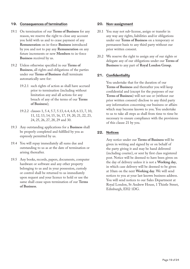#### **19. Consequences of termination**

- 19.1 On termination of our **Terms of Business** for any reason, we reserve the right to close any account you hold with us and to cease payment of any **Remuneration** on in-force **Business** introduced by you and not to pay any **Remuneration** on any future increments or new **Members** to in-force **Business** received by us.
- 19.2 Unless otherwise specified in our **Terms of Business**, all rights and obligations of the parties under our **Terms of Business** shall terminate automatically save for:
	- 19.2.1 such rights of action as shall have accrued prior to termination (including without limitation any and all actions for any breach of any of the terms of our **Terms of Business**);
	- 19.2.2 clauses 1, 5.4, 5.7, 5.13, 6.4, 6.8, 6.13, 7, 10, 11, 12, 13, 14, 15, 16, 17, 19, 20, 21, 22, 23, 24, 25, 26, 27, 28, 29 and 30.
- 19.3 Any outstanding applications for a **Business** shall be properly completed and fulfilled by you as expressly permitted by us.
- 19.4 You will repay immediately all sums due and outstanding to us as at the date of termination or arising thereafter.
- 19.5 Any books, records, papers, documents, computer hardware or software and any other property belonging to us and in your possession, custody or control shall be returned to us immediately upon request and your licence to hold or use the same shall cease upon termination of our **Terms of Business**.

#### **20. Non-assignment**

- 20.1 You may not sub-license, assign or transfer in any way any rights, liabilities and/or obligations under our **Terms of Business** on a temporary or permanent basis to any third party without our prior written consent.
- 20.2 We reserve the right to assign any of our rights or delegate any of our obligations under our **Terms of Business** to any part of **Royal London Group**.

#### **21. Confidentiality**

You undertake that for the duration of our **Terms of Business** and thereafter you will keep confidential and (except for the purposes of our **Terms of Business**) will not use or (without our prior written consent) disclose to any third party any information concerning our business or affairs which may become known to you. You undertake to us to take all steps as shall from time to time be necessary to ensure compliance with the provisions of this clause 21 by you.

#### **22. Notices**

Any notice under our **Terms of Business** will be given in writing and signed by or on behalf of the party giving it and may be hand delivered (including courier), or sent by first class registered post. Notice will be deemed to have been given on the day of delivery unless it is not a **Working day**, in which case delivery will be deemed to be given at 10am on the next **Working day**. We will send notices to you at your last known business address. You will send notices to our Sales Department at Royal London, St Andrew House, 1 Thistle Street, Edinburgh, EH2 1DG.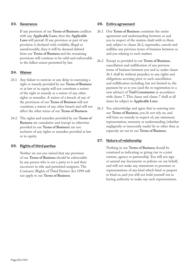#### **23. Severance**

If any provision of our **Terms of Business** conflicts with any **Applicable Laws**, then the **Applicable Laws** will prevail. If any provision or part of any provision is declared void, voidable, illegal or unenforceable, then it will be deemed deleted from our **Terms of Business** and the remaining provisions will continue to be valid and enforceable to the fullest extent permitted by law.

#### **24. Waiver**

- 24.1 Any failure to exercise or any delay in exercising a right or remedy provided by our **Terms of Business** or at law or in equity will not constitute a waiver of the right or remedy or a waiver of any other rights or remedies. A waiver of a breach of any of the provisions of our **Terms of Business** will not constitute a waiver of any other breach and will not affect the other terms of our **Terms of Business**.
- 24.2 The rights and remedies provided by our **Terms of Business** are cumulative and (except as otherwise provided in our **Terms of Business**) are not exclusive of any rights or remedies provided at law or in equity.

#### **25. Rights of third parties**

Neither we nor you intend that any provision of our **Terms of Business** should be enforceable by any person who is not a party to it and their successors in title and permitted assignees. The Contracts (Rights of Third Parties) Act 1999 will not apply to our **Terms of Business**.

#### **26. Entire agreement**

- 26.1 Our **Terms of Business** constitute the entire agreement and understanding between us and you in respect of the matters dealt with in them and, subject to clause 26.2, supersedes, cancels and nullifies any previous terms of business between us and you relating to such matters.
- 26.2 Except as provided in our **Terms of Business**, cancellation and nullification of any previous terms of business between you and us under clause 26.1 shall be without prejudice to any rights and obligations accruing prior to such cancellation and nullification including, but not limited to, the payment by us to you (and the re-registration to a new adviser) of **Trail Commission** in accordance with clause 7. This clause and clause 7 shall at all times be subject to **Applicable Laws**.
- 26.3 You acknowledge and agree that in entering into our **Terms of Business**, you do not rely on, and will have no remedy in respect of, any statement, representation, warranty or understanding (whether negligently or innocently made) by us other than as expressly set out in our **Terms of Business**.

#### **27. Nature of relationship**

Nothing in our **Terms of Business** should be construed as indicating or giving rise to a joint venture, agency or partnership. You will not sign or amend any documents or policies on our behalf, and will not make any statements or promises or representations of any kind which bind or purport to bind us, and you will not hold yourself out as having authority to make any such representation.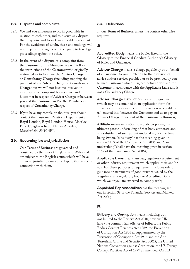#### **28. Disputes and complaints**

- 28.1 We and you undertake to act in good faith in relation to each other, and to discuss any dispute that may arise and to seek an amicable settlement. For the avoidance of doubt, these undertakings will not prejudice the rights of either party to take legal proceedings against the other.
- 28.2 In the event of a dispute or a complaint from the **Customer** or the **Members**, we will follow the instructions of the **Customer** who originally instructed us to facilitate the **Adviser Charge**  or **Consultancy Charge** (including stopping the payment of any **Adviser Charge** or **Consultancy Charge**) but we will not become involved in any dispute or complaint between you and the **Customer** in respect of **Adviser Charge** or between you and the **Customer** and/or the **Members** in respect of **Consultancy Charge**.
- 28.3 If you have any complaint about us, you should contact the Customer Relations Department at Royal London, Royal London House, Alderley Park, Congleton Road, Nether Alderley, Macclesfield, SK10 4EL.

#### **29. Governing law and jurisdiction**

Our **Terms of Business** are governed and construed by the laws of England and Wales and are subject to the English courts which will have exclusive jurisdiction over any dispute that arises in connection with them.

#### **30. Definitions**

In our **Terms of Business**, unless the context otherwise requires:

## A

**Accredited Body** means the bodies listed in the Glossary to the Financial Conduct Authority's Glossary of Rules and Guidance;

**Adviser Charge** means a charge payable by or on behalf of a **Customer** to you in relation to the provision of advice and/or services provided or to be provided by you to such **Customer** which is agreed between you and the **Customer** in accordance with the **Applicable Laws** and is not a **Consultancy Charge**;

**Adviser Charge Instruction** means the agreement (which may be contained in an application form for **Business** or other agreement or instruction acceptable to us) entered into between the **Customer** and us to pay an **Adviser Charge** to you out of the **Customer's Business**;

**Affiliate** means in relation to a body corporate, the ultimate parent undertaking of that body corporate and any subsidiary of such parent undertaking for the time being (where "subsidiary" has the meaning given in section 1159 of the Companies Act 2006 and "parent undertaking" shall have the meaning given in section 1162 of the Companies Act 2006);

**Applicable Laws** means any law, regulatory requirement or other industry requirement which applies to us and/or you. For these purposes, a requirement includes rules, guidance or statements of good practice issued by the **Regulator**, any regulatory body or **Accredited Body** which we or you are expected to comply with;

**Appointed Representatives** has the meaning set out in section 39 of the Financial Services and Markets Act 2000;

### B

**Bribery and Corruption** means including but not limited to the Bribery Act 2010, previous UK laws (the common law offence of bribery, the Public Bodies Corrupt Practices Act 1889, the Prevention of Corruption Act 1906 as supplemented by the Prevention of Corruption Act 1916 and the Anti-Terrorism, Crime and Security Act 2001), the United Nations Convention against Corruption, the US Foreign Corrupt Practices Act of 1977 as amended, OECD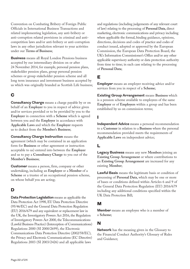Convention on Combating Bribery of Foreign Public Officials in International Business Transactions and related implementing legislation, any anti-bribery or anti-corruption related provisions in criminal and anticompetition laws and/or anti-bribery or anti-corruption laws in any other jurisdiction relevant to your activities under our **Terms of Business**;

**Business** means all Royal London Pensions business accepted by our intermediary division on or after 24 November 2014, for example, personal pension plans, stakeholder pension plans, group personal pension schemes or group stakeholder pension scheme and all long term insurance and investment business accepted by us which was originally branded as Scottish Life business;

# C

**Consultancy Charge** means a charge payable by or on behalf of an **Employer** to you in respect of advice given and/or services provided or to be provided by you to the **Employer** in connection with a **Scheme** which is agreed between you and the **Employer** in accordance with **Applicable Laws** and which the **Employer** requests us to deduct from the **Member's Business**;

**Consultancy Charge Instruction** means the agreement (which may be contained in an application form for **Business** or other agreement or instruction acceptable to us) entered into between the **Employer** and us to pay a **Consultancy Charge** to you out of the **Member's Business**;

**Customer** means a person, firm, company or other undertaking, including an **Employer** or a **Member** of a **Scheme** or a trustee of an occupational pension scheme, on whose behalf you are acting;

# D

**Data Protection Legislation** means as applicable the Data Protection Act 1998, EU Data Protection Directive (95/46/EC) and the General Data Protection Regulation (EU) 2016/679 and any equivalent or replacement law in the UK, the Investigatory Powers Act 2016, the Regulation of Investigatory Powers Act 2000, the Telecommunications (Lawful Business Practice) (Interception of Communications) Regulations 2000 (SI 2000/2699), the Electronic Communications Data Protection Directive (2002/58/EC), the Privacy and Electronic Communications (EC Directive) Regulations 2003 (SI 2003/2426) and all applicable laws

and regulations (including judgements of any relevant court of law) relating to the processing of **Personal Data**, direct marketing, electronic communications and privacy including where applicable the formal, binding guidance, opinions, directions, decisions and codes of practice and codes of conduct issued, adopted or approved by the European Commission, the European Data Protection Board, the UK's Information Commissioner's Office and/or any other applicable supervisory authority or data protection authority from time to time; in each case relating to the processing of **Personal Data**;

# E

**Employer** means an employer receiving advice and/or services from you in respect of a **Scheme**;

**Existing Group Arrangement** means **Business** which is a pension scheme available to employees of the same **Employer** or of **Employers** within a group and has been established by us on commission terms;

## I

**Independent Advice** means a personal recommendation to a **Customer** in relation to a **Business** where the personal recommendation provided meets the requirements of **Applicable Laws** on independent advice;

# L

**Legacy Business** means any new **Members** joining an **Existing Group Arrangement** or where contributions to an **Existing Group Arrangement** are increased for any existing **Member**;

**Lawful Basis** means the legitimate basis or condition of processing of **Personal Data**, which may be one or more of bases or conditions defined within Articles 6 and 9 of the General Data Protection Regulation (EU) 2016/679 including any additional conditions specified within the UK Data Protection Bill;

## M

**Member** means an employee who is a member of a **Scheme**;

## N

**Network** has the meaning given in the Glossary to the Financial Conduct Authority's Glossary of Rules and Guidance;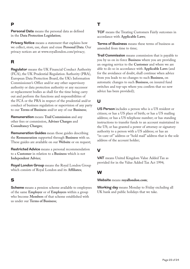## P

**Personal Data** means the personal data as defined in the **Data Protection Legislation**;

**Privacy Notice** means a statement that explains how we collect, store, use, share and erase **Personal Data**. Our privacy notices are at www.royallondon.com/privacy;

# R

**Regulator** means the UK Financial Conduct Authority (FCA), the UK Prudential Regulation Authority (PRA), European Data Protection Board, the UK's Information Commissioner's Office and/or any other supervisory authority or data protection authority or any successor or replacement bodies as shall for the time being carry out and perform the functions and responsibilities of the FCA or the PRA in respect of the prudential and/or conduct of business regulation or supervision of any party to our **Terms of Business** and/or any of our **Business**;

**Remuneration** means **Trail Commission** and any other fees or commission, **Adviser Charges** and **Consultancy Charges**;

**Remuneration Guides** mean those guides describing the **Remuneration** supported through **Business** with us. These guides are available on our **Website** or on request;

**Restricted Advice** means a personal recommendation to a **Customer** in relation to a **Business** which is not **Independent Advice**;

**Royal London Group** means the Royal London Group which consists of Royal London and its **Affiliates**;

# S

**Scheme** means a pension scheme available to employees of the same **Employer** or of **Employers** within a group who become **Members** of that scheme established with us under our **Terms of Business**;

# T

**TCF** means the Treating Customers Fairly outcomes in accordance with **Applicable Laws**;

**Terms of Business** means these terms of business as amended from time to time;

**Trail Commission** means commission that is payable to you by us on in-force **Business** where you are providing an ongoing service to the **Customer** and where we are able to do so in accordance with **Applicable Laws** (and for the avoidance of doubt, shall continue when advice from you leads to no changes to such **Business**, on automatic changes to such **Business**, on insured fund switches and top-ups where you confirm that no new advice has been provided);

# U

**US Person** includes a person who is a US resident or citizen; or has a US place of birth; or has a US mailing address; or has a US telephone number; or has standing instructions to transfer funds to an account maintained in the US; or has granted a power of attorney or signatory authority to a person with a US address; or has an "in-care-of " address or "hold mail" address that is the sole address of the account holder;

# V

**VAT** means United Kingdom Value Added Tax as provided for in the Value Added Tax Act 1994;

## W

**Website** means **royallondon.com**;

**Working day** means Monday to Friday excluding all UK bank and public holidays that we take.